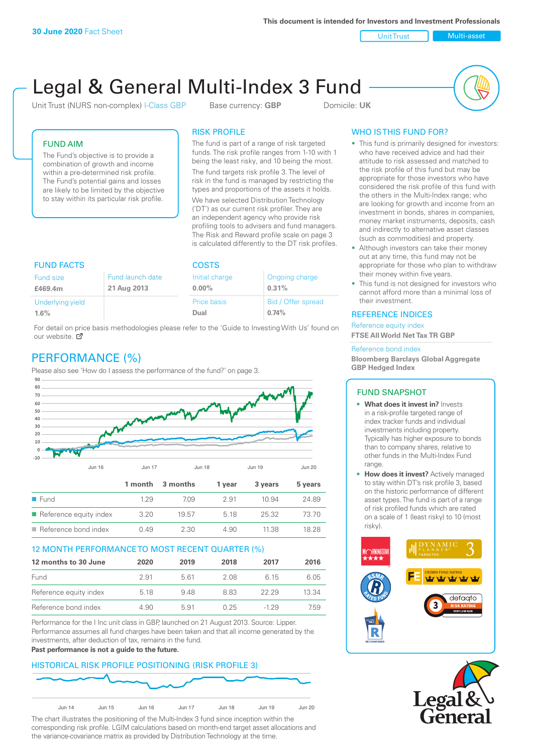Unit Trust Nulti-asset

# Legal & General Multi-Index 3 Fund

Unit Trust (NURS non-complex) I-Class GBP Base currency: **GBP** Domicile: UK



## FUND AIM

The Fund's objective is to provide a combination of growth and income within a pre-determined risk profile. The Fund's potential gains and losses are likely to be limited by the objective to stay within its particular risk profile.

# RISK PROFILE

The fund is part of a range of risk targeted funds. The risk profile ranges from 1-10 with 1 being the least risky, and 10 being the most.

The fund targets risk profile 3. The level of risk in the fund is managed by restricting the types and proportions of the assets it holds. We have selected Distribution Technology ('DT') as our current risk profiler. They are an independent agency who provide risk profiling tools to advisers and fund managers. The Risk and Reward profile scale on page 3 is calculated differently to the DT risk profiles.

| <b>FUND FACTS</b> |                  | <b>COSTS</b>       |                    |  |
|-------------------|------------------|--------------------|--------------------|--|
| Fund size         | Fund launch date | Initial charge     | Ongoing charge     |  |
| £469.4m           | 21 Aug 2013      | $0.00\%$           | 0.31%              |  |
| Underlying yield  |                  | <b>Price basis</b> | Bid / Offer spread |  |
| 1.6%              |                  | Dual               | 0.74%              |  |

For detail on price basis methodologies please refer to the 'Guide to Investing With Us' found on our website. Ø

# PERFORMANCE (%)

Please also see 'How do I assess the performance of the fund?' on page 3.



#### 12 MONTH PERFORMANCE TO MOST RECENT QUARTER (%)

| 12 months to 30 June   | 2020 | 2019 | 2018 | 2017  | 2016  |
|------------------------|------|------|------|-------|-------|
| Fund                   | 2.91 | 561  | 2.08 | 6 15  | 6.05  |
| Reference equity index | 5.18 | 948  | 883  | 22.29 | 13.34 |
| Reference bond index   | 4.90 | 5.91 | 0.25 | -1 29 | 7.59  |

Performance for the I Inc unit class in GBP, launched on 21 August 2013. Source: Lipper. Performance assumes all fund charges have been taken and that all income generated by the investments, after deduction of tax, remains in the fund.

#### **Past performance is not a guide to the future.**

## HISTORICAL RISK PROFILE POSITIONING (RISK PROFILE 3)



The chart illustrates the positioning of the Multi-Index 3 fund since inception within the corresponding risk profile. LGIM calculations based on month-end target asset allocations and the variance-covariance matrix as provided by Distribution Technology at the time.

#### WHO IS THIS FUND FOR?

- This fund is primarily designed for investors: who have received advice and had their attitude to risk assessed and matched to the risk profile of this fund but may be appropriate for those investors who have considered the risk profile of this fund with the others in the Multi-Index range; who are looking for growth and income from an investment in bonds, shares in companies, money market instruments, deposits, cash and indirectly to alternative asset classes (such as commodities) and property.
- Although investors can take their money out at any time, this fund may not be appropriate for those who plan to withdraw their money within five years.
- This fund is not designed for investors who cannot afford more than a minimal loss of their investment.

#### REFERENCE INDICES

Reference equity index **FTSE All World Net Tax TR GBP**

#### Reference bond index

**Bloomberg Barclays Global Aggregate GBP Hedged Index**

#### FUND SNAPSHOT

- **• What does it invest in?** Invests in a risk-profile targeted range of index tracker funds and individual investments including property. Typically has higher exposure to bonds than to company shares, relative to other funds in the Multi-Index Fund range.
- **• How does it invest?** Actively managed to stay within DT's risk profile 3, based on the historic performance of different asset types. The fund is part of a range of risk profiled funds which are rated on a scale of 1 (least risky) to 10 (most risky).



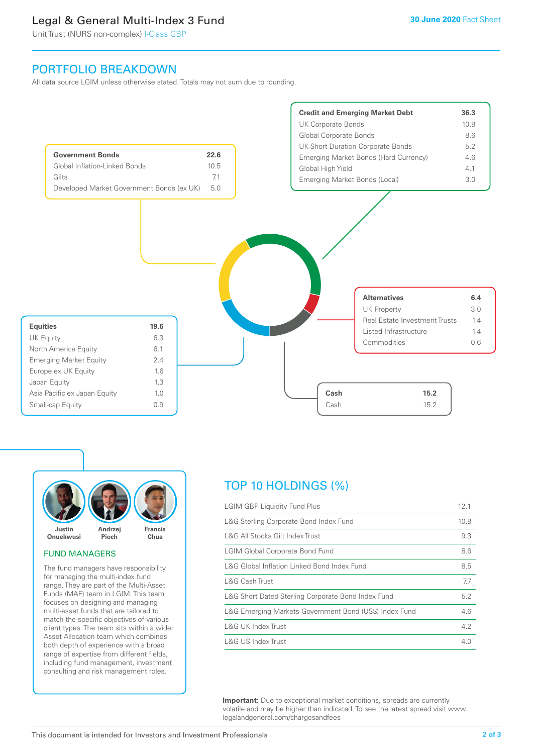# Legal & General Multi-Index 3 Fund

Unit Trust (NURS non-complex) I-Class GBP

# PORTFOLIO BREAKDOWN

All data source LGIM unless otherwise stated. Totals may not sum due to rounding.





#### FUND MANAGERS

The fund managers have responsibility for managing the multi-index fund range. They are part of the Multi-Asset Funds (MAF) team in LGIM. This team focuses on designing and managing multi-asset funds that are tailored to match the specific objectives of various client types. The team sits within a wider Asset Allocation team which combines both depth of experience with a broad range of expertise from different fields, including fund management, investment consulting and risk management roles.

# TOP 10 HOLDINGS (%)

| <b>LGIM GBP Liquidity Fund Plus</b>                    | 12.1 |
|--------------------------------------------------------|------|
| L&G Sterling Corporate Bond Index Fund                 | 10.8 |
| L&G All Stocks Gilt Index Trust                        | 9.3  |
| <b>LGIM Global Corporate Bond Fund</b>                 | 8.6  |
| L&G Global Inflation Linked Bond Index Fund            | 8.5  |
| L&G Cash Trust                                         | 7.7  |
| L&G Short Dated Sterling Corporate Bond Index Fund     | 5.2  |
| L&G Emerging Markets Government Bond (US\$) Index Fund | 4.6  |
| <b>L&amp;G UK Index Trust</b>                          | 4.2  |
| <b>L&amp;G US Index Trust</b>                          | 4.0  |

**Important:** Due to exceptional market conditions, spreads are currently volatile and may be higher than indicated. To see the latest spread visit www. legalandgeneral.com/chargesandfees